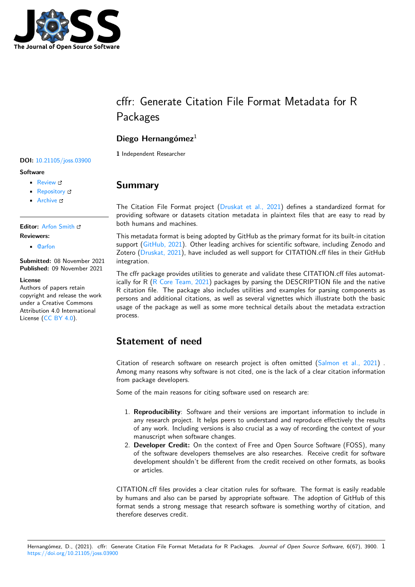

# cffr: Generate Citation File Format Metadata for R Packages

### **Diego Hernangómez**<sup>1</sup>

**1** Independent Researcher

#### **DOI:** 10.21105/joss.03900

#### **Software**

- Review L'
- [Repository](https://doi.org/10.21105/joss.03900) &
- Archive

### **Editor:** [Arfon Sm](https://github.com/ropensci/cffr)ith **Revie[wers:](https://doi.org/10.5281/zenodo.5646626)**

• @arfon

**Submitted:** [08 Nove](http://arfon.org/)mber 2021 **Published:** 09 November 2021

#### **Licen[se](https://github.com/arfon)**

Authors of papers retain copyright and release the work under a Creative Commons Attribution 4.0 International License (CC BY 4.0).

## **Summary**

The Citation File Format project (Druskat et al., 2021) defines a standardized format for providing software or datasets citation metadata in plaintext files that are easy to read by both humans and machines.

This metadata format is being adopted by GitHub as the primary format for its built-in citation support (GitHub, 2021). Other lea[ding archives for scien](#page-1-0)tific software, including Zenodo and Zotero (Druskat, 2021), have included as well support for CITATION.cff files in their GitHub integration.

The cffr package provides utilities to generate and validate these CITATION.cff files automatically for [R \(R Core Te](#page-1-1)am, 2021) packages by parsing the DESCRIPTION file and the native R citati[on file. The pa](#page-1-2)ckage also includes utilities and examples for parsing components as persons and additional citations, as well as several vignettes which illustrate both the basic usage of the package as well as some more technical details about the metadata extraction process.

# **Statement of need**

Citation of research software on research project is often omitted (Salmon et al., 2021) . Among many reasons why software is not cited, one is the lack of a clear citation information from package developers.

Some of the main reasons for citing software used on research are:

- 1. **Reproducibility**: Software and their versions are important information to include in any research project. It helps peers to understand and reproduce effectively the results of any work. Including versions is also crucial as a way of recording the context of your manuscript when software changes.
- 2. **Developer Credit:** On the context of Free and Open Source Software (FOSS), many of the software developers themselves are also researches. Receive credit for software development shouldn't be different from the credit received on other formats, as books or articles.

CITATION.cff files provides a clear citation rules for software. The format is easily readable by humans and also can be parsed by appropriate software. The adoption of GitHub of this format sends a strong message that research software is something worthy of citation, and therefore deserves credit.